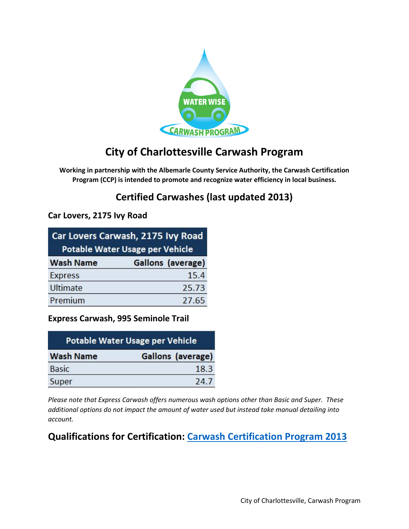

# **City of Charlottesville Carwash Program**

**Working in partnership with the Albemarle County Service Authority, the Carwash Certification Program (CCP) is intended to promote and recognize water efficiency in local business.**

# **Certified Carwashes (last updated 2013)**

### **Car Lovers, 2175 Ivy Road**

| Car Lovers Carwash, 2175 Ivy Road<br><b>Potable Water Usage per Vehicle</b> |                          |
|-----------------------------------------------------------------------------|--------------------------|
| <b>Wash Name</b>                                                            | <b>Gallons</b> (average) |
| <b>Express</b>                                                              | 15.4                     |
| <b>Ultimate</b>                                                             | 25.73                    |
| Premium                                                                     | 27.65                    |

### **Express Carwash, 995 Seminole Trail**

| <b>Potable Water Usage per Vehicle</b> |                   |
|----------------------------------------|-------------------|
| <b>Wash Name</b>                       | Gallons (average) |
| <b>Basic</b>                           | 18.3              |
| Super                                  | 24.7              |

*Please note that Express Carwash offers numerous wash options other than Basic and Super. These additional options do not impact the amount of water used but instead take manual detailing into account.*

### **Qualifications for Certification: [Carwash Certification](https://www.charlottesville.org/home/showdocument?id=27269) Program 2013**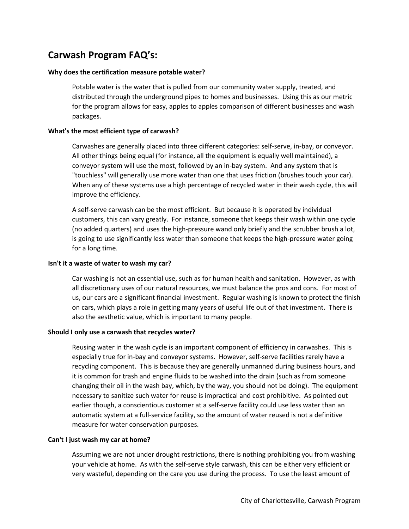## **Carwash Program FAQ's:**

#### **Why does the certification measure potable water?**

Potable water is the water that is pulled from our community water supply, treated, and distributed through the underground pipes to homes and businesses. Using this as our metric for the program allows for easy, apples to apples comparison of different businesses and wash packages.

#### **What's the most efficient type of carwash?**

Carwashes are generally placed into three different categories: self-serve, in-bay, or conveyor. All other things being equal (for instance, all the equipment is equally well maintained), a conveyor system will use the most, followed by an in-bay system. And any system that is "touchless" will generally use more water than one that uses friction (brushes touch your car). When any of these systems use a high percentage of recycled water in their wash cycle, this will improve the efficiency.

A self-serve carwash can be the most efficient. But because it is operated by individual customers, this can vary greatly. For instance, someone that keeps their wash within one cycle (no added quarters) and uses the high-pressure wand only briefly and the scrubber brush a lot, is going to use significantly less water than someone that keeps the high-pressure water going for a long time.

#### **Isn't it a waste of water to wash my car?**

Car washing is not an essential use, such as for human health and sanitation. However, as with all discretionary uses of our natural resources, we must balance the pros and cons. For most of us, our cars are a significant financial investment. Regular washing is known to protect the finish on cars, which plays a role in getting many years of useful life out of that investment. There is also the aesthetic value, which is important to many people.

#### **Should I only use a carwash that recycles water?**

Reusing water in the wash cycle is an important component of efficiency in carwashes. This is especially true for in-bay and conveyor systems. However, self-serve facilities rarely have a recycling component. This is because they are generally unmanned during business hours, and it is common for trash and engine fluids to be washed into the drain (such as from someone changing their oil in the wash bay, which, by the way, you should not be doing). The equipment necessary to sanitize such water for reuse is impractical and cost prohibitive. As pointed out earlier though, a conscientious customer at a self-serve facility could use less water than an automatic system at a full-service facility, so the amount of water reused is not a definitive measure for water conservation purposes.

#### **Can't I just wash my car at home?**

Assuming we are not under drought restrictions, there is nothing prohibiting you from washing your vehicle at home. As with the self-serve style carwash, this can be either very efficient or very wasteful, depending on the care you use during the process. To use the least amount of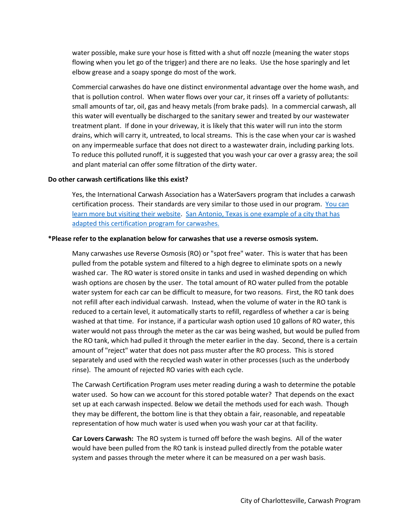water possible, make sure your hose is fitted with a shut off nozzle (meaning the water stops flowing when you let go of the trigger) and there are no leaks. Use the hose sparingly and let elbow grease and a soapy sponge do most of the work.

Commercial carwashes do have one distinct environmental advantage over the home wash, and that is pollution control. When water flows over your car, it rinses off a variety of pollutants: small amounts of tar, oil, gas and heavy metals (from brake pads). In a commercial carwash, all this water will eventually be discharged to the sanitary sewer and treated by our wastewater treatment plant. If done in your driveway, it is likely that this water will run into the storm drains, which will carry it, untreated, to local streams. This is the case when your car is washed on any impermeable surface that does not direct to a wastewater drain, including parking lots. To reduce this polluted runoff, it is suggested that you wash your car over a grassy area; the soil and plant material can offer some filtration of the dirty water.

#### **Do other carwash certifications like this exist?**

Yes, the International Carwash Association has a WaterSavers program that includes a carwash certification process. Their standards are very similar to those used in our program. [You can](https://www.carwash.org/watersavers)  [learn more but visiting their website.](https://www.carwash.org/watersavers) [San Antonio, Texas is one example of a city that has](https://www.saws.org/conservation/commercial-programs-rebates/watersaver-car-wash-program/)  [adapted this certification program for carwashes.](https://www.saws.org/conservation/commercial-programs-rebates/watersaver-car-wash-program/)

#### **\*Please refer to the explanation below for carwashes that use a reverse osmosis system.**

Many carwashes use Reverse Osmosis (RO) or "spot free" water. This is water that has been pulled from the potable system and filtered to a high degree to eliminate spots on a newly washed car. The RO water is stored onsite in tanks and used in washed depending on which wash options are chosen by the user. The total amount of RO water pulled from the potable water system for each car can be difficult to measure, for two reasons. First, the RO tank does not refill after each individual carwash. Instead, when the volume of water in the RO tank is reduced to a certain level, it automatically starts to refill, regardless of whether a car is being washed at that time. For instance, if a particular wash option used 10 gallons of RO water, this water would not pass through the meter as the car was being washed, but would be pulled from the RO tank, which had pulled it through the meter earlier in the day. Second, there is a certain amount of "reject" water that does not pass muster after the RO process. This is stored separately and used with the recycled wash water in other processes (such as the underbody rinse). The amount of rejected RO varies with each cycle.

The Carwash Certification Program uses meter reading during a wash to determine the potable water used. So how can we account for this stored potable water? That depends on the exact set up at each carwash inspected. Below we detail the methods used for each wash. Though they may be different, the bottom line is that they obtain a fair, reasonable, and repeatable representation of how much water is used when you wash your car at that facility.

**Car Lovers Carwash:** The RO system is turned off before the wash begins. All of the water would have been pulled from the RO tank is instead pulled directly from the potable water system and passes through the meter where it can be measured on a per wash basis.